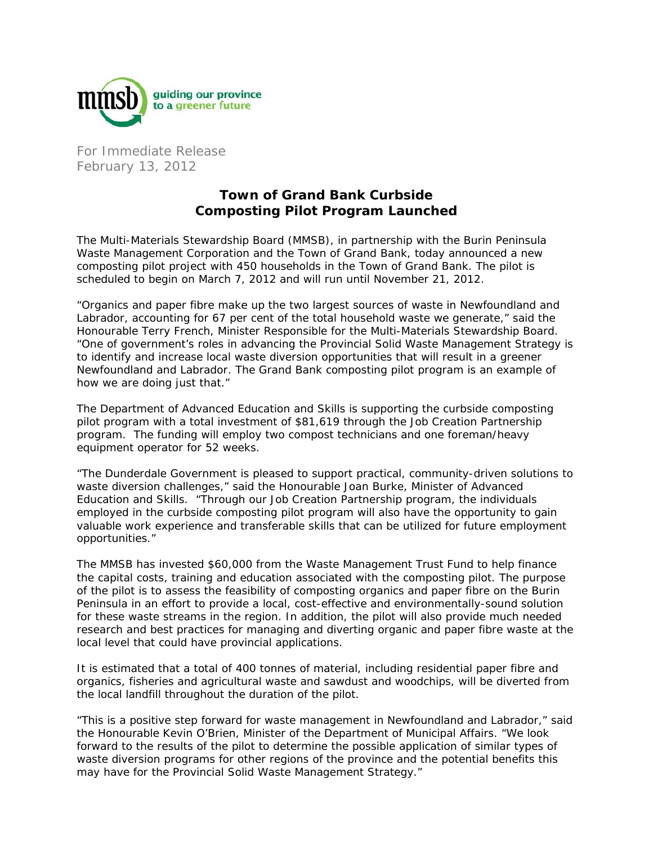

For Immediate Release February 13, 2012

## **Town of Grand Bank Curbside Composting Pilot Program Launched**

The Multi-Materials Stewardship Board (MMSB), in partnership with the Burin Peninsula Waste Management Corporation and the Town of Grand Bank, today announced a new composting pilot project with 450 households in the Town of Grand Bank. The pilot is scheduled to begin on March 7, 2012 and will run until November 21, 2012.

"Organics and paper fibre make up the two largest sources of waste in Newfoundland and Labrador, accounting for 67 per cent of the total household waste we generate," said the Honourable Terry French, Minister Responsible for the Multi-Materials Stewardship Board. "One of government's roles in advancing the Provincial Solid Waste Management Strategy is to identify and increase local waste diversion opportunities that will result in a greener Newfoundland and Labrador. The Grand Bank composting pilot program is an example of how we are doing just that."

The Department of Advanced Education and Skills is supporting the curbside composting pilot program with a total investment of \$81,619 through the Job Creation Partnership program. The funding will employ two compost technicians and one foreman/heavy equipment operator for 52 weeks.

"The Dunderdale Government is pleased to support practical, community-driven solutions to waste diversion challenges," said the Honourable Joan Burke, Minister of Advanced Education and Skills. "Through our Job Creation Partnership program, the individuals employed in the curbside composting pilot program will also have the opportunity to gain valuable work experience and transferable skills that can be utilized for future employment opportunities."

The MMSB has invested \$60,000 from the Waste Management Trust Fund to help finance the capital costs, training and education associated with the composting pilot. The purpose of the pilot is to assess the feasibility of composting organics and paper fibre on the Burin Peninsula in an effort to provide a local, cost-effective and environmentally-sound solution for these waste streams in the region. In addition, the pilot will also provide much needed research and best practices for managing and diverting organic and paper fibre waste at the local level that could have provincial applications.

It is estimated that a total of 400 tonnes of material, including residential paper fibre and organics, fisheries and agricultural waste and sawdust and woodchips, will be diverted from the local landfill throughout the duration of the pilot.

"This is a positive step forward for waste management in Newfoundland and Labrador," said the Honourable Kevin O'Brien, Minister of the Department of Municipal Affairs. "We look forward to the results of the pilot to determine the possible application of similar types of waste diversion programs for other regions of the province and the potential benefits this may have for the Provincial Solid Waste Management Strategy."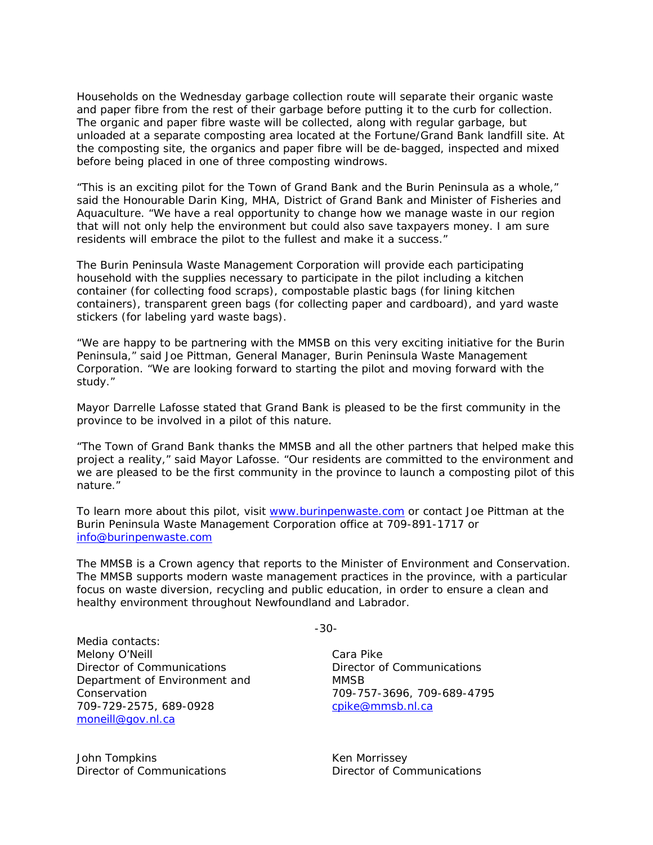Households on the Wednesday garbage collection route will separate their organic waste and paper fibre from the rest of their garbage before putting it to the curb for collection. The organic and paper fibre waste will be collected, along with regular garbage, but unloaded at a separate composting area located at the Fortune/Grand Bank landfill site. At the composting site, the organics and paper fibre will be de-bagged, inspected and mixed before being placed in one of three composting windrows.

"This is an exciting pilot for the Town of Grand Bank and the Burin Peninsula as a whole," said the Honourable Darin King, MHA, District of Grand Bank and Minister of Fisheries and Aquaculture. "We have a real opportunity to change how we manage waste in our region that will not only help the environment but could also save taxpayers money. I am sure residents will embrace the pilot to the fullest and make it a success."

The Burin Peninsula Waste Management Corporation will provide each participating household with the supplies necessary to participate in the pilot including a kitchen container (for collecting food scraps), compostable plastic bags (for lining kitchen containers), transparent green bags (for collecting paper and cardboard), and yard waste stickers (for labeling yard waste bags).

"We are happy to be partnering with the MMSB on this very exciting initiative for the Burin Peninsula," said Joe Pittman, General Manager, Burin Peninsula Waste Management Corporation. "We are looking forward to starting the pilot and moving forward with the study."

Mayor Darrelle Lafosse stated that Grand Bank is pleased to be the first community in the province to be involved in a pilot of this nature.

"The Town of Grand Bank thanks the MMSB and all the other partners that helped make this project a reality," said Mayor Lafosse. "Our residents are committed to the environment and we are pleased to be the first community in the province to launch a composting pilot of this nature."

To learn more about this pilot, visit www.burinpenwaste.com or contact Joe Pittman at the Burin Peninsula Waste Management Corporation office at 709-891-1717 or info@burinpenwaste.com

The MMSB is a Crown agency that reports to the Minister of Environment and Conservation. The MMSB supports modern waste management practices in the province, with a particular focus on waste diversion, recycling and public education, in order to ensure a clean and healthy environment throughout Newfoundland and Labrador.

Media contacts: Melony O'Neill Director of Communications Department of Environment and Conservation 709-729-2575, 689-0928 moneill@gov.nl.ca

John Tompkins Director of Communications -30-

Cara Pike Director of Communications **MMSB** 709-757-3696, 709-689-4795 cpike@mmsb.nl.ca

Ken Morrissey Director of Communications